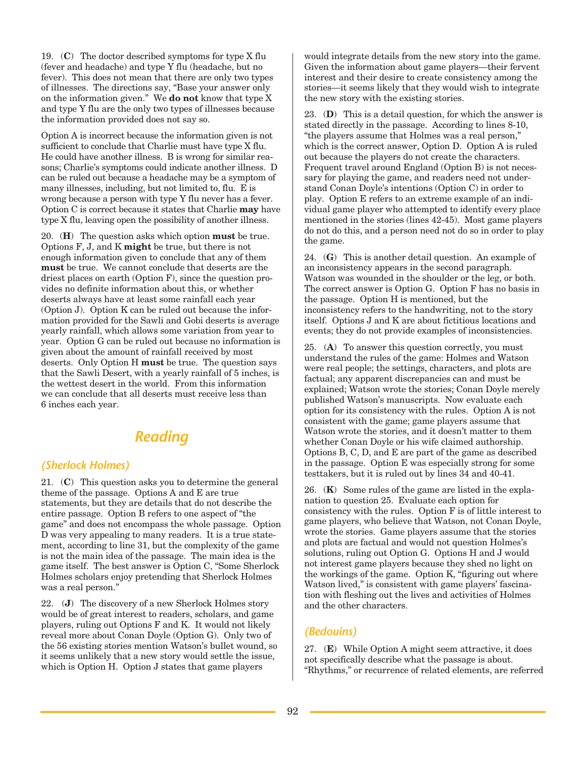19. (**C**) The doctor described symptoms for type X flu (fever and headache) and type Y flu (headache, but no fever). This does not mean that there are only two types of illnesses. The directions say, "Base your answer only on the information given." We **do not** know that type X and type Y flu are the only two types of illnesses because the information provided does not say so.

Option A is incorrect because the information given is not sufficient to conclude that Charlie must have type X flu. He could have another illness. B is wrong for similar reasons; Charlie's symptoms could indicate another illness. D can be ruled out because a headache may be a symptom of many illnesses, including, but not limited to, flu. E is wrong because a person with type Y flu never has a fever. Option C is correct because it states that Charlie **may** have type X flu, leaving open the possibility of another illness.

20. (**H**) The question asks which option **must** be true. Options F, J, and K **might** be true, but there is not enough information given to conclude that any of them **must** be true. We cannot conclude that deserts are the driest places on earth (Option F), since the question provides no definite information about this, or whether deserts always have at least some rainfall each year (Option J). Option K can be ruled out because the information provided for the Sawli and Gobi deserts is average yearly rainfall, which allows some variation from year to year. Option G can be ruled out because no information is given about the amount of rainfall received by most deserts. Only Option H **must** be true. The question says that the Sawli Desert, with a yearly rainfall of 5 inches, is the wettest desert in the world. From this information we can conclude that all deserts must receive less than 6 inches each year.

## *Reading*

### *(Sherlock Holmes)*

21. (**C**) This question asks you to determine the general theme of the passage. Options A and E are true statements, but they are details that do not describe the entire passage. Option B refers to one aspect of "the game" and does not encompass the whole passage. Option D was very appealing to many readers. It is a true statement, according to line 31, but the complexity of the game is not the main idea of the passage. The main idea is the game itself. The best answer is Option C, "Some Sherlock Holmes scholars enjoy pretending that Sherlock Holmes was a real person."

22. (**J**) The discovery of a new Sherlock Holmes story would be of great interest to readers, scholars, and game players, ruling out Options F and K. It would not likely reveal more about Conan Doyle (Option G). Only two of the 56 existing stories mention Watson's bullet wound, so it seems unlikely that a new story would settle the issue, which is Option H. Option J states that game players

would integrate details from the new story into the game. Given the information about game players—their fervent interest and their desire to create consistency among the stories—it seems likely that they would wish to integrate the new story with the existing stories.

23. (**D**) This is a detail question, for which the answer is stated directly in the passage. According to lines 8-10, "the players assume that Holmes was a real person," which is the correct answer, Option D. Option A is ruled out because the players do not create the characters. Frequent travel around England (Option B) is not necessary for playing the game, and readers need not understand Conan Doyle's intentions (Option C) in order to play. Option E refers to an extreme example of an individual game player who attempted to identify every place mentioned in the stories (lines 42-45). Most game players do not do this, and a person need not do so in order to play the game.

24. (**G**) This is another detail question. An example of an inconsistency appears in the second paragraph. Watson was wounded in the shoulder or the leg, or both. The correct answer is Option G. Option F has no basis in the passage. Option H is mentioned, but the inconsistency refers to the handwriting, not to the story itself. Options J and K are about fictitious locations and events; they do not provide examples of inconsistencies.

25. (**A**) To answer this question correctly, you must understand the rules of the game: Holmes and Watson were real people; the settings, characters, and plots are factual; any apparent discrepancies can and must be explained; Watson wrote the stories; Conan Doyle merely published Watson's manuscripts. Now evaluate each option for its consistency with the rules. Option A is not consistent with the game; game players assume that Watson wrote the stories, and it doesn't matter to them whether Conan Doyle or his wife claimed authorship. Options B, C, D, and E are part of the game as described in the passage. Option E was especially strong for some testtakers, but it is ruled out by lines 34 and 40-41.

26. (**K**) Some rules of the game are listed in the explanation to question 25. Evaluate each option for consistency with the rules. Option F is of little interest to game players, who believe that Watson, not Conan Doyle, wrote the stories. Game players assume that the stories and plots are factual and would not question Holmes's solutions, ruling out Option G. Options H and J would not interest game players because they shed no light on the workings of the game. Option K, "figuring out where Watson lived," is consistent with game players' fascination with fleshing out the lives and activities of Holmes and the other characters.

### *(Bedouins)*

27. (**E**) While Option A might seem attractive, it does not specifically describe what the passage is about. "Rhythms," or recurrence of related elements, are referred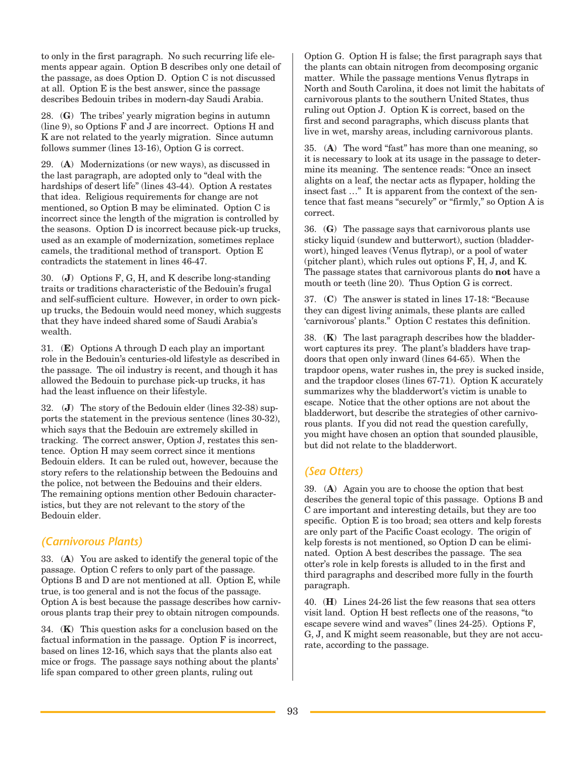to only in the first paragraph. No such recurring life elements appear again. Option B describes only one detail of the passage, as does Option D. Option C is not discussed at all. Option E is the best answer, since the passage describes Bedouin tribes in modern-day Saudi Arabia.

28. (**G**) The tribes' yearly migration begins in autumn (line 9), so Options F and J are incorrect. Options H and K are not related to the yearly migration. Since autumn follows summer (lines 13-16), Option G is correct.

29. (**A**) Modernizations (or new ways), as discussed in the last paragraph, are adopted only to "deal with the hardships of desert life" (lines 43-44). Option A restates that idea. Religious requirements for change are not mentioned, so Option B may be eliminated. Option C is incorrect since the length of the migration is controlled by the seasons. Option D is incorrect because pick-up trucks, used as an example of modernization, sometimes replace camels, the traditional method of transport. Option E contradicts the statement in lines 46-47.

30. (**J**) Options F, G, H, and K describe long-standing traits or traditions characteristic of the Bedouin's frugal and self-sufficient culture. However, in order to own pickup trucks, the Bedouin would need money, which suggests that they have indeed shared some of Saudi Arabia's wealth.

31. (**E**) Options A through D each play an important role in the Bedouin's centuries-old lifestyle as described in the passage. The oil industry is recent, and though it has allowed the Bedouin to purchase pick-up trucks, it has had the least influence on their lifestyle.

32. (**J**) The story of the Bedouin elder (lines 32-38) supports the statement in the previous sentence (lines 30-32), which says that the Bedouin are extremely skilled in tracking. The correct answer, Option J, restates this sentence. Option H may seem correct since it mentions Bedouin elders. It can be ruled out, however, because the story refers to the relationship between the Bedouins and the police, not between the Bedouins and their elders. The remaining options mention other Bedouin characteristics, but they are not relevant to the story of the Bedouin elder.

### *(Carnivorous Plants)*

33. (**A**) You are asked to identify the general topic of the passage. Option C refers to only part of the passage. Options B and D are not mentioned at all. Option E, while true, is too general and is not the focus of the passage. Option A is best because the passage describes how carnivorous plants trap their prey to obtain nitrogen compounds.

34. (**K**) This question asks for a conclusion based on the factual information in the passage. Option F is incorrect, based on lines 12-16, which says that the plants also eat mice or frogs. The passage says nothing about the plants' life span compared to other green plants, ruling out

Option G. Option H is false; the first paragraph says that the plants can obtain nitrogen from decomposing organic matter. While the passage mentions Venus flytraps in North and South Carolina, it does not limit the habitats of carnivorous plants to the southern United States, thus ruling out Option J. Option K is correct, based on the first and second paragraphs, which discuss plants that live in wet, marshy areas, including carnivorous plants.

35. (**A**) The word "fast" has more than one meaning, so it is necessary to look at its usage in the passage to determine its meaning. The sentence reads: "Once an insect alights on a leaf, the nectar acts as flypaper, holding the insect fast …" It is apparent from the context of the sentence that fast means "securely" or "firmly," so Option A is correct.

36. (**G**) The passage says that carnivorous plants use sticky liquid (sundew and butterwort), suction (bladderwort), hinged leaves (Venus flytrap), or a pool of water (pitcher plant), which rules out options F, H, J, and K. The passage states that carnivorous plants do **not** have a mouth or teeth (line 20). Thus Option G is correct.

37. (**C**) The answer is stated in lines 17-18: "Because they can digest living animals, these plants are called 'carnivorous' plants." Option C restates this definition.

38. (**K**) The last paragraph describes how the bladderwort captures its prey. The plant's bladders have trapdoors that open only inward (lines 64-65). When the trapdoor opens, water rushes in, the prey is sucked inside, and the trapdoor closes (lines 67-71). Option K accurately summarizes why the bladderwort's victim is unable to escape. Notice that the other options are not about the bladderwort, but describe the strategies of other carnivorous plants. If you did not read the question carefully, you might have chosen an option that sounded plausible, but did not relate to the bladderwort.

### *(Sea Otters)*

39. (**A**) Again you are to choose the option that best describes the general topic of this passage. Options B and C are important and interesting details, but they are too specific. Option E is too broad; sea otters and kelp forests are only part of the Pacific Coast ecology. The origin of kelp forests is not mentioned, so Option D can be eliminated. Option A best describes the passage. The sea otter's role in kelp forests is alluded to in the first and third paragraphs and described more fully in the fourth paragraph.

40. (**H**) Lines 24-26 list the few reasons that sea otters visit land. Option H best reflects one of the reasons, "to escape severe wind and waves" (lines 24-25). Options F, G, J, and K might seem reasonable, but they are not accurate, according to the passage.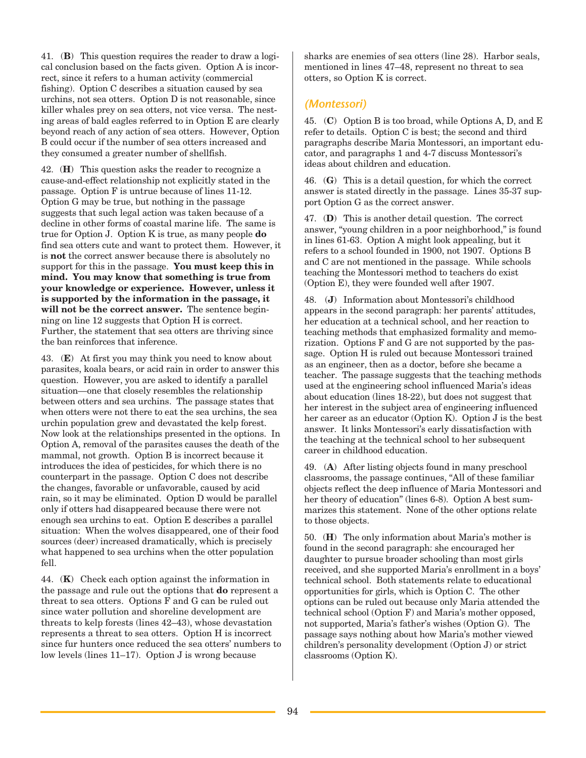41. (**B**) This question requires the reader to draw a logical conclusion based on the facts given. Option A is incorrect, since it refers to a human activity (commercial fishing). Option C describes a situation caused by sea urchins, not sea otters. Option D is not reasonable, since killer whales prey on sea otters, not vice versa. The nesting areas of bald eagles referred to in Option E are clearly beyond reach of any action of sea otters. However, Option B could occur if the number of sea otters increased and they consumed a greater number of shellfish.

42. (**H**) This question asks the reader to recognize a cause-and-effect relationship not explicitly stated in the passage. Option F is untrue because of lines 11-12. Option G may be true, but nothing in the passage suggests that such legal action was taken because of a decline in other forms of coastal marine life. The same is true for Option J. Option K is true, as many people **do** find sea otters cute and want to protect them. However, it is **not** the correct answer because there is absolutely no support for this in the passage. **You must keep this in mind. You may know that something is true from your knowledge or experience. However, unless it is supported by the information in the passage, it will not be the correct answer.** The sentence beginning on line 12 suggests that Option H is correct. Further, the statement that sea otters are thriving since the ban reinforces that inference.

43. (**E**) At first you may think you need to know about parasites, koala bears, or acid rain in order to answer this question. However, you are asked to identify a parallel situation—one that closely resembles the relationship between otters and sea urchins. The passage states that when otters were not there to eat the sea urchins, the sea urchin population grew and devastated the kelp forest. Now look at the relationships presented in the options. In Option A, removal of the parasites causes the death of the mammal, not growth. Option B is incorrect because it introduces the idea of pesticides, for which there is no counterpart in the passage. Option C does not describe the changes, favorable or unfavorable, caused by acid rain, so it may be eliminated. Option D would be parallel only if otters had disappeared because there were not enough sea urchins to eat. Option E describes a parallel situation: When the wolves disappeared, one of their food sources (deer) increased dramatically, which is precisely what happened to sea urchins when the otter population fell.

44. (**K**) Check each option against the information in the passage and rule out the options that **do** represent a threat to sea otters. Options F and G can be ruled out since water pollution and shoreline development are threats to kelp forests (lines 42–43), whose devastation represents a threat to sea otters. Option H is incorrect since fur hunters once reduced the sea otters' numbers to low levels (lines 11–17). Option J is wrong because

sharks are enemies of sea otters (line 28). Harbor seals, mentioned in lines 47–48, represent no threat to sea otters, so Option K is correct.

### *(Montessori)*

45. (**C**) Option B is too broad, while Options A, D, and E refer to details. Option C is best; the second and third paragraphs describe Maria Montessori, an important educator, and paragraphs 1 and 4-7 discuss Montessori's ideas about children and education.

46. (**G**) This is a detail question, for which the correct answer is stated directly in the passage. Lines 35-37 support Option G as the correct answer.

47. (**D**) This is another detail question. The correct answer, "young children in a poor neighborhood," is found in lines 61-63. Option A might look appealing, but it refers to a school founded in 1900, not 1907. Options B and C are not mentioned in the passage. While schools teaching the Montessori method to teachers do exist (Option E), they were founded well after 1907.

48. (**J**) Information about Montessori's childhood appears in the second paragraph: her parents' attitudes, her education at a technical school, and her reaction to teaching methods that emphasized formality and memorization. Options F and G are not supported by the passage. Option H is ruled out because Montessori trained as an engineer, then as a doctor, before she became a teacher. The passage suggests that the teaching methods used at the engineering school influenced Maria's ideas about education (lines 18-22), but does not suggest that her interest in the subject area of engineering influenced her career as an educator (Option K). Option J is the best answer. It links Montessori's early dissatisfaction with the teaching at the technical school to her subsequent career in childhood education.

49. (**A**) After listing objects found in many preschool classrooms, the passage continues, "All of these familiar objects reflect the deep influence of Maria Montessori and her theory of education" (lines 6-8). Option A best summarizes this statement. None of the other options relate to those objects.

50. (**H**) The only information about Maria's mother is found in the second paragraph: she encouraged her daughter to pursue broader schooling than most girls received, and she supported Maria's enrollment in a boys' technical school. Both statements relate to educational opportunities for girls, which is Option C. The other options can be ruled out because only Maria attended the technical school (Option F) and Maria's mother opposed, not supported, Maria's father's wishes (Option G). The passage says nothing about how Maria's mother viewed children's personality development (Option J) or strict classrooms (Option K).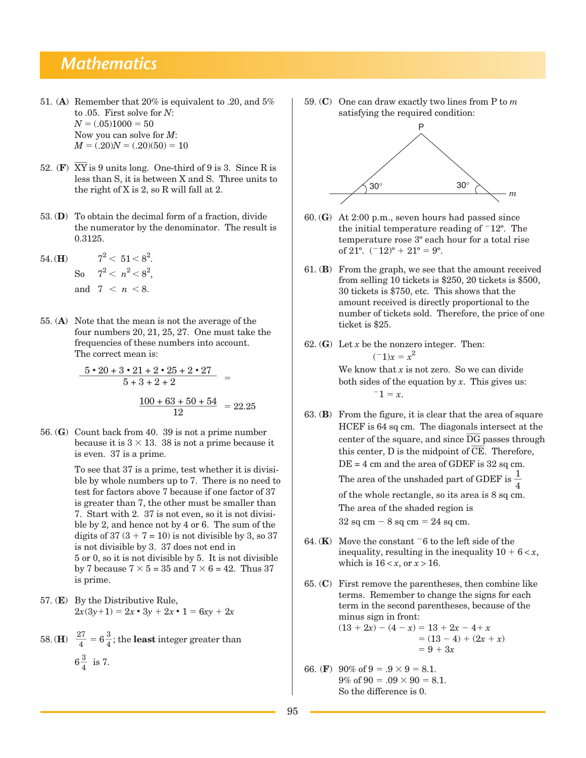# *Mathematics*

- 51. (**A**) Remember that 20% is equivalent to .20, and 5% to .05. First solve for *N*:  $N = (.05)1000 = 50$ Now you can solve for *M*:  $M = (.20)N = (.20)(50) = 10$
- 52. **(F)**  $\overline{XY}$  is 9 units long. One-third of 9 is 3. Since R is less than S, it is between X and S. Three units to the right of X is 2, so R will fall at 2.
- 53. (**D**) To obtain the decimal form of a fraction, divide the numerator by the denominator. The result is 0.3125.
- 54. **(H)**  $7^2 < 51 < 8^2$ .  $\mathrm{So} \quad 7^2 < n^2 < 8^2,$ and  $7 < n < 8$ .
- 55. (**A**) Note that the mean is not the average of the four numbers 20, 21, 25, 27. One must take the frequencies of these numbers into account.

The correct mean is:  
\n
$$
\frac{5 \cdot 20 + 3 \cdot 21 + 2 \cdot 25 + 2 \cdot 27}{5 + 3 + 2 + 2} =
$$
\n
$$
\frac{100 + 63 + 50 + 54}{12} = 22.25
$$

56. (**G**) Count back from 40. 39 is not a prime number because it is  $3 \times 13$ . 38 is not a prime because it is even. 37 is a prime.

> To see that 37 is a prime, test whether it is divisible by whole numbers up to 7. There is no need to test for factors above 7 because if one factor of 37 is greater than 7, the other must be smaller than 7. Start with 2. 37 is not even, so it is not divisible by 2, and hence not by 4 or 6. The sum of the digits of  $37 (3 + 7 = 10)$  is not divisible by 3, so  $37$ is not divisible by 3. 37 does not end in 5 or 0, so it is not divisible by 5. It is not divisible by 7 because  $7 \times 5 = 35$  and  $7 \times 6 = 42$ . Thus 37 is prime.

57. (**E**) By the Distributive Rule,  $2x(3y+1) = 2x \cdot 3y + 2x \cdot 1 = 6xy + 2x$ 

58. (H) 
$$
\frac{27}{4} = 6\frac{3}{4}
$$
; the **least** integer greater than  
 $6\frac{3}{4}$  is 7.

59. (**C**) One can draw exactly two lines from P to *m*  satisfying the required condition:



- 60. (**G**) At 2:00 p.m., seven hours had passed since the initial temperature reading of  $-12^{\circ}$ . The temperature rose 3º each hour for a total rise of  $21^{\circ}$ .  $(-12)^{\circ} + 21^{\circ} = 9^{\circ}$ .
- 61. (**B**) From the graph, we see that the amount received from selling 10 tickets is \$250, 20 tickets is \$500, 30 tickets is \$750, etc. This shows that the amount received is directly proportional to the number of tickets sold. Therefore, the price of one ticket is \$25.
- 62. (**G**) Let *x* be the nonzero integer. Then:  $(-1)x = x^2$

We know that *x* is not zero. So we can divide both sides of the equation by *x*. This gives us:  $-1 = x$ .

- 63. (**B**) From the figure, it is clear that the area of square HCEF is 64 sq cm. The diagonals intersect at the center of the square, and since  $\overline{\text{DG}}$  passes through this center,  $D$  is the midpoint of  $\overline{CE}$ . Therefore,  $DE = 4$  cm and the area of GDEF is  $32$  sq cm. The area of the unshaded part of GDEF is  $\frac{1}{4}$ of the whole rectangle, so its area is 8 sq cm. The area of the shaded region is  $32$  sq cm  $-8$  sq cm  $= 24$  sq cm.
- 64. ( $\bf{K}$ ) Move the constant  $\bar{6}$  to the left side of the inequality, resulting in the inequality  $10 + 6 < x$ , which is  $16 < x$ , or  $x > 16$ .
- 65. (**C**) First remove the parentheses, then combine like terms. Remember to change the signs for each term in the second parentheses, because of the minus sign in front:  $(13 + 2x) - (4 - x) = 13 + 2x - 4 + x$  $= (13 - 4) + (2x + x)$  $= 9 + 3x$
- 66. (**F**) 90% of  $9 = .9 \times 9 = 8.1$ .  $9\% \text{ of } 90 = .09 \times 90 = 8.1.$ So the difference is 0.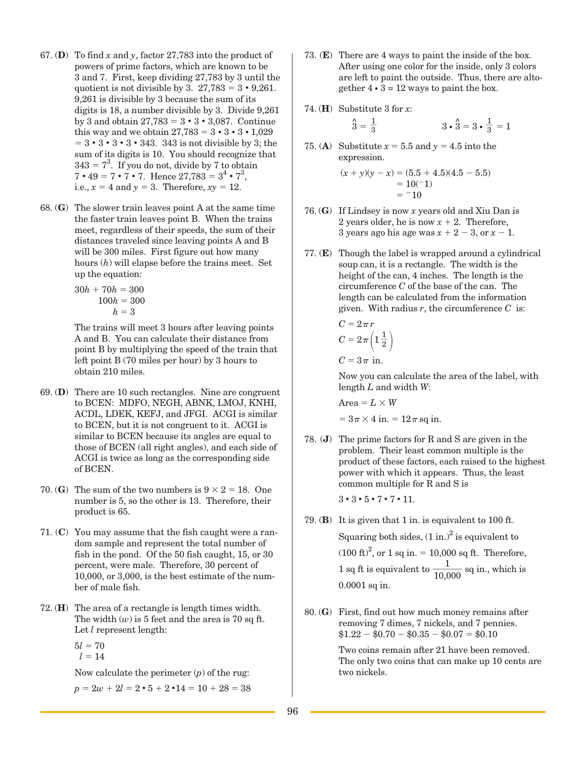- 67. (**D**) To find *x* and *y*, factor 27,783 into the product of powers of prime factors, which are known to be 3 and 7. First, keep dividing 27,783 by 3 until the quotient is not divisible by 3.  $27,783 = 3 \cdot 9,261$ . 9,261 is divisible by 3 because the sum of its digits is 18, a number divisible by 3. Divide 9,261 by 3 and obtain  $27,783 = 3 \cdot 3 \cdot 3,087$ . Continue this way and we obtain  $27,783 = 3 \cdot 3 \cdot 3 \cdot 1,029$  $= 3 \cdot 3 \cdot 3 \cdot 3 \cdot 343$ . 343 is not divisible by 3; the sum of its digits is 10. You should recognize that  $343 = 7<sup>3</sup>$ . If you do not, divide by 7 to obtain  $7 \cdot 49 = 7 \cdot 7 \cdot 7$ . Hence  $27{,}783 = 3^4 \cdot 7^3$ , i.e.,  $x = 4$  and  $y = 3$ . Therefore,  $xy = 12$ .
- 68. (**G**) The slower train leaves point A at the same time the faster train leaves point B. When the trains meet, regardless of their speeds, the sum of their distances traveled since leaving points A and B will be 300 miles. First figure out how many hours (*h*) will elapse before the trains meet. Set up the equation:

 $30h + 70h = 300$  $100h = 300$  $h = 3$ 

The trains will meet 3 hours after leaving points A and B. You can calculate their distance from point B by multiplying the speed of the train that left point B (70 miles per hour) by 3 hours to obtain 210 miles.

- 69. (**D**) There are 10 such rectangles. Nine are congruent to BCEN: MDFO, NEGH, ABNK, LMOJ, KNHI, ACDL, LDEK, KEFJ, and JFGI. ACGI is similar to BCEN, but it is not congruent to it. ACGI is similar to BCEN because its angles are equal to those of BCEN (all right angles), and each side of ACGI is twice as long as the corresponding side of BCEN.
- 70. (**G**) The sum of the two numbers is  $9 \times 2 = 18$ . One number is 5, so the other is 13. Therefore, their product is 65.
- 71. (**C**) You may assume that the fish caught were a random sample and represent the total number of fish in the pond. Of the 50 fish caught, 15, or 30 percent, were male. Therefore, 30 percent of 10,000, or 3,000, is the best estimate of the number of male fish.
- 72. (**H**) The area of a rectangle is length times width. The width  $(w)$  is 5 feet and the area is 70 sq ft. Let *l* represent length:
	- $5l = 70$  $l = 14$

Now calculate the perimeter (*p*) of the rug:

$$
p = 2w + 2l = 2 \cdot 5 + 2 \cdot 14 = 10 + 28 = 38
$$

- 73. (**E**) There are 4 ways to paint the inside of the box. After using one color for the inside, only 3 colors are left to paint the outside. Thus, there are altogether  $4 \cdot 3 = 12$  ways to paint the box.
- 74. (**H**) Substitute 3 for *x*:

$$
\hat{3} = \frac{1}{3} \qquad \qquad 3 \cdot \hat{3} = 3 \cdot \frac{1}{3} = 1
$$

75. (**A**) Substitute  $x = 5.5$  and  $y = 4.5$  into the expression.

$$
(x + y)(y - x) = (5.5 + 4.5)(4.5 - 5.5)
$$
  
= 10(-1)  
= -10

- 76. (**G**) If Lindsey is now *x* years old and Xiu Dan is 2 years older, he is now  $x + 2$ . Therefore, 3 years ago his age was  $x + 2 - 3$ , or  $x - 1$ .
- 77. (**E**) Though the label is wrapped around a cylindrical soup can, it is a rectangle. The width is the height of the can, 4 inches. The length is the circumference *C* of the base of the can. The length can be calculated from the information given. With radius  $r$ , the circumference  $C$  is:

$$
C = 2\pi r
$$
  
\n
$$
C = 2\pi \left(1\frac{1}{2}\right)
$$
  
\n
$$
C = 3\pi \text{ in.}
$$

Now you can calculate the area of the label, with length *L* and width *W*:

 $Area = L \times W$  $= 3\pi \times 4$  in.  $= 12\pi$  sq in.

78. (**J**) The prime factors for R and S are given in the problem. Their least common multiple is the product of these factors, each raised to the highest power with which it appears. Thus, the least common multiple for R and S is

 $3 \cdot 3 \cdot 5 \cdot 7 \cdot 7 \cdot 11$ .

79. (**B**) It is given that 1 in. is equivalent to 100 ft.

Squaring both sides,  $(1 \text{ in.})^2$  is equivalent to  $(100 \text{ ft})^2$ , or 1 sq in. = 10,000 sq ft. Therefore,  $(100 \text{ ft})^2$ , or 1 sq in. = 10,000 sq ft. Therefore,<br>1 sq ft is equivalent to  $\frac{1}{10,000}$  sq in., which is 0.0001 sq in. 10,000

80. (**G**) First, find out how much money remains after removing 7 dimes, 7 nickels, and 7 pennies.  $$1.22 - $0.70 - $0.35 - $0.07 = $0.10$ 

> Two coins remain after 21 have been removed. The only two coins that can make up 10 cents are two nickels.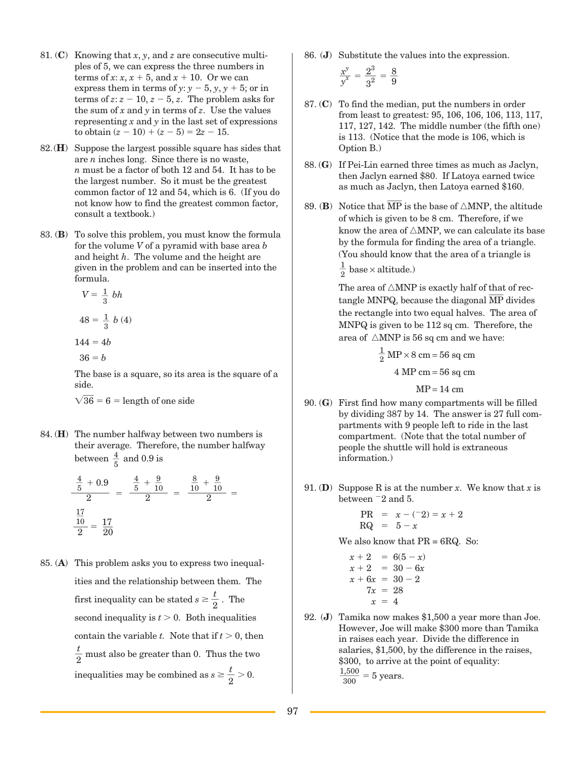- 81. (**C**) Knowing that *x*, *y*, and *z* are consecutive multiples of 5, we can express the three numbers in terms of *x*:  $x$ ,  $x + 5$ , and  $x + 10$ . Or we can express them in terms of *y*:  $y - 5$ ,  $y$ ,  $y + 5$ ; or in terms of  $z: z - 10, z - 5, z$ . The problem asks for the sum of  $x$  and  $y$  in terms of  $z$ . Use the values representing *x* and *y* in the last set of expressions to obtain  $(z - 10) + (z - 5) = 2z - 15$ .
- 82.(**H**) Suppose the largest possible square has sides that are *n* inches long. Since there is no waste, *n* must be a factor of both 12 and 54. It has to be the largest number. So it must be the greatest common factor of 12 and 54, which is 6. (If you do not know how to find the greatest common factor, consult a textbook.)
- 83. (**B**) To solve this problem, you must know the formula for the volume *V* of a pyramid with base area *b* and height *h*. The volume and the height are given in the problem and can be inserted into the formula.

$$
V = \frac{1}{3} bh
$$

$$
48 = \frac{1}{3} b (4)
$$

$$
144=4b
$$

$$
36=b
$$

The base is a square, so its area is the square of a side.

 $\sqrt{36}$  = 6 = length of one side

84. (**H**) The number halfway between two numbers is their average. Therefore, the number halfway between  $\frac{4}{5}$  and 0.9 is

$$
\frac{\frac{4}{5} + 0.9}{2} = \frac{\frac{4}{5} + \frac{9}{10}}{2} = \frac{\frac{8}{10} + \frac{9}{10}}{2} = \frac{\frac{17}{10}}{2} = \frac{17}{20}
$$

85. (**A**) This problem asks you to express two inequalities and the relationship between them. The first inequality can be stated  $s \geq \frac{t}{2}$ . The second inequality is  $t > 0$ . Both inequalities contain the variable *t*. Note that if  $t > 0$ , then  $\frac{t}{2}$  must also be greater than 0. Thus the two inequalities may be combined as  $s \geq \frac{t}{2} > 0$ .

86. (**J**) Substitute the values into the expression.

$$
\frac{x^y}{y^x} = \frac{2^3}{3^2} = \frac{8}{9}
$$

- 87. (**C**) To find the median, put the numbers in order from least to greatest: 95, 106, 106, 106, 113, 117, 117, 127, 142. The middle number (the fifth one) is 113. (Notice that the mode is 106, which is Option B.)
- 88. (**G**) If Pei-Lin earned three times as much as Jaclyn, then Jaclyn earned \$80. If Latoya earned twice as much as Jaclyn, then Latoya earned \$160.
- 89. **(B)** Notice that  $\overline{MP}$  is the base of  $\triangle MNP$ , the altitude of which is given to be 8 cm. Therefore, if we know the area of  $\triangle MNP$ , we can calculate its base by the formula for finding the area of a triangle. (You should know that the area of a triangle is

 $\frac{1}{2}$  base × altitude.)

The area of  $\triangle MNP$  is exactly half of that of rectangle MNPQ, because the diagonal  $\overline{\text{MP}}$  divides the rectangle into two equal halves. The area of MNPQ is given to be 112 sq cm. Therefore, the area of  $\triangle MNP$  is 56 sq cm and we have:

> $\frac{1}{2}$  MP  $\times$  8 cm = 56 sq cm  $4 MP cm = 56 sq cm$

> > $MP = 14$  cm

- 90. (**G**) First find how many compartments will be filled by dividing 387 by 14. The answer is 27 full compartments with 9 people left to ride in the last compartment. (Note that the total number of people the shuttle will hold is extraneous information.)
- 91. **(D)** Suppose R is at the number *x*. We know that *x* is between  $-2$  and 5.

PR = 
$$
x - (-2) = x + 2
$$
  
RQ =  $5 - x$ 

We also know that PR = 6RQ. So:

- $x + 2 = 6(5 x)$  $x + 2 = 30 - 6x$  $x + 6x = 30 - 2$  $7x = 28$  $x = 4$
- 92. (**J**) Tamika now makes \$1,500 a year more than Joe. However, Joe will make \$300 more than Tamika in raises each year. Divide the difference in salaries, \$1,500, by the difference in the raises, \$300, to arrive at the point of equality:  $\frac{1,500}{300} = 5$  years.